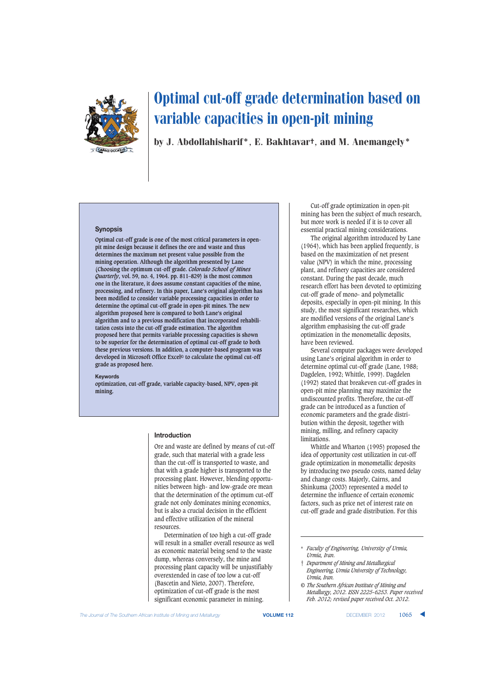

by J. Abdollahisharif\*, E. Bakhtavar†, and M. Anemangely\*

#### **Synopsis**

**Optimal cut-off grade is one of the most critical parameters in openpit mine design because it defines the ore and waste and thus determines the maximum net present value possible from the mining operation. Although the algorithm presented by Lane (Choosing the optimum cut-off grade.** *Colorado School of Mines Quarterly***, vol. 59, no. 4, 1964. pp. 811–829) is the most common one in the literature, it does assume constant capacities of the mine, processing, and refinery. In this paper, Lane's original algorithm has been modified to consider variable processing capacities in order to determine the optimal cut-off grade in open-pit mines. The new algorithm proposed here is compared to both Lane's original algorithm and to a previous modification that incorporated rehabilitation costs into the cut-off grade estimation. The algorithm proposed here that permits variable processing capacities is shown to be superior for the determination of optimal cut-off grade to both these previous versions. In addition, a computer-based program was developed in Microsoft Office Excel© to calculate the optimal cut-off grade as proposed here.**

#### **Keywords**

**optimization, cut-off grade, variable capacity-based, NPV, open-pit mining.**

#### **Introduction**

Ore and waste are defined by means of cut-off grade, such that material with a grade less than the cut-off is transported to waste, and that with a grade higher is transported to the processing plant. However, blending opportunities between high- and low-grade ore mean that the determination of the optimum cut-off grade not only dominates mining economics, but is also a crucial decision in the efficient and effective utilization of the mineral resources.

Determination of too high a cut-off grade will result in a smaller overall resource as well as economic material being send to the waste dump, whereas conversely, the mine and processing plant capacity will be unjustifiably overextended in case of too low a cut-off (Bascetin and Nieto, 2007). Therefore, optimization of cut-off grade is the most significant economic parameter in mining.

Cut-off grade optimization in open-pit mining has been the subject of much research, but more work is needed if it is to cover all essential practical mining considerations.

The original algorithm introduced by Lane (1964), which has been applied frequently, is based on the maximization of net present value (NPV) in which the mine, processing plant, and refinery capacities are considered constant. During the past decade, much research effort has been devoted to optimizing cut-off grade of mono- and polymetallic deposits, especially in open-pit mining. In this study, the most significant researches, which are modified versions of the original Lane's algorithm emphasising the cut-off grade optimization in the monometallic deposits, have been reviewed.

Several computer packages were developed using Lane's original algorithm in order to determine optimal cut-off grade (Lane, 1988; Dagdelen, 1992; Whittle, 1999). Dagdelen (1992) stated that breakeven cut-off grades in open-pit mine planning may maximize the undiscounted profits. Therefore, the cut-off grade can be introduced as a function of economic parameters and the grade distribution within the deposit, together with mining, milling, and refinery capacity limitations.

Whittle and Wharton (1995) proposed the idea of opportunity cost utilization in cut-off grade optimization in monometallic deposits by introducing two pseudo costs, named delay and change costs. Majorly, Cairns, and Shinkuma (2003) represented a model to determine the influence of certain economic factors, such as price net of interest rate on cut-off grade and grade distribution. For this

- † *Department of Mining and Metallurgical Engineering, Urmia University of Technology, Urmia, Iran.*
- *© The Southern African Institute of Mining and Metallurgy, 2012. ISSN 2225-6253. Paper received Feb. 2012; revised paper received Oct. 2012.*

<sup>\*</sup> *Faculty of Engineering, University of Urmia, Urmia, Iran.*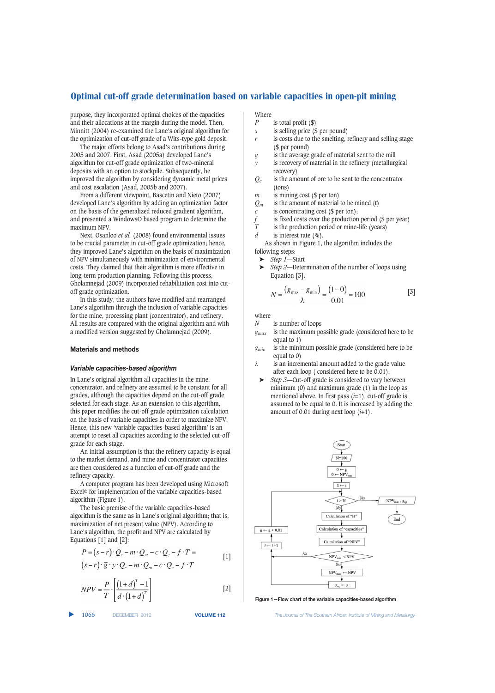purpose, they incorporated optimal choices of the capacities and their allocations at the margin during the model. Then, Minnitt (2004) re-examined the Lane's original algorithm for the optimization of cut-off grade of a Wits-type gold deposit.

The major efforts belong to Asad's contributions during 2005 and 2007. First, Asad (2005a) developed Lane's algorithm for cut-off grade optimization of two-mineral deposits with an option to stockpile. Subsequently, he improved the algorithm by considering dynamic metal prices and cost escalation (Asad, 2005b and 2007).

From a different viewpoint, Bascetin and Nieto (2007) developed Lane's algorithm by adding an optimization factor on the basis of the generalized reduced gradient algorithm, and presented a Windows© based program to determine the maximum NPV.

Next, Osanloo *et al.* (2008) found environmental issues to be crucial parameter in cut-off grade optimization; hence, they improved Lane's algorithm on the basis of maximization of NPV simultaneously with minimization of environmental costs. They claimed that their algorithm is more effective in long-term production planning. Following this process, Gholamnejad (2009) incorporated rehabilitation cost into cutoff grade optimization.

In this study, the authors have modified and rearranged Lane's algorithm through the inclusion of variable capacities for the mine, processing plant (concentrator), and refinery. All results are compared with the original algorithm and with a modified version suggested by Gholamnejad (2009).

# **Materials and methods**

### *Variable capacities-based algorithm*

In Lane's original algorithm all capacities in the mine, concentrator, and refinery are assumed to be constant for all grades, although the capacities depend on the cut-off grade selected for each stage. As an extension to this algorithm, this paper modifies the cut-off grade optimization calculation on the basis of variable capacities in order to maximize NPV. Hence, this new 'variable capacities-based algorithm' is an attempt to reset all capacities according to the selected cut-off grade for each stage.

An initial assumption is that the refinery capacity is equal to the market demand, and mine and concentrator capacities are then considered as a function of cut-off grade and the refinery capacity.

A computer program has been developed using Microsoft Excel© for implementation of the variable capacities-based algorithm (Figure 1).

The basic premise of the variable capacities-based algorithm is the same as in Lane's original algorithm; that is, maximization of net present value (NPV). According to Lane's algorithm, the profit and NPV are calculated by Equations [1] and [2]:

$$
P = (s - r) \cdot Q_r - m \cdot Q_m - c \cdot Q_c - f \cdot T =
$$
  
\n
$$
(s - r) \cdot \overline{g} \cdot y \cdot Q_c - m \cdot Q_m - c \cdot Q_c - f \cdot T
$$
 [1]

$$
NPV = \frac{P}{T} \cdot \left[ \frac{\left(1+d\right)^{T} - 1}{d \cdot \left(1+d\right)^{T}} \right]
$$
 [2]

▲

- Where  $\frac{p}{p}$ is total profit (\$)
- *s* is selling price (\$ per pound)
- *r* is costs due to the smelting, refinery and selling stage (\$ per pound)
- *g* is the average grade of material sent to the mill
- *y* is recovery of material in the refinery (metallurgical recovery)
- *Qc* is the amount of ore to be sent to the concentrator (tons)
- *m* is mining cost (\$ per ton)
- $Q_m$  is the amount of material to be mined (t)
- *c* is concentrating cost (\$ per ton);
- *f* is fixed costs over the production period ( $\oint$  per year)<br>*T* is the production period or mine-life (years)
- is the production period or mine-life (years)
- *d* is interest rate  $(\%).$

As shown in Figure 1, the algorithm includes the

- following steps:
- ➤ *Step 1*—Start
- ➤ *Step 2*—Determination of the number of loops using Equation [3].

$$
N = \frac{(g_{\text{max}} - g_{\text{min}})}{\lambda} = \frac{(1 - 0)}{0.01} = 100
$$
 [3]

where  $N$ is number of loops

- *gmax* is the maximum possible grade (considered here to be equal to 1)
- *gmin* is the minimum possible grade (considered here to be equal to 0)
- λ is an incremental amount added to the grade value after each loop ( considered here to be 0.01).
- ➤ *Step 3*—Cut-off grade is considered to vary between minimum (0) and maximum grade (1) in the loop as mentioned above. In first pass (*i*=1), cut-off grade is assumed to be equal to 0. It is increased by adding the amount of 0.01 during next loop (*i*+1).



**Figure 1—Flow chart of the variable capacities-based algorithm**

1066 DECEMBER 2012 **VOLUME 112** *The Journal of The Southern African Institute of Mining and Metallurgy*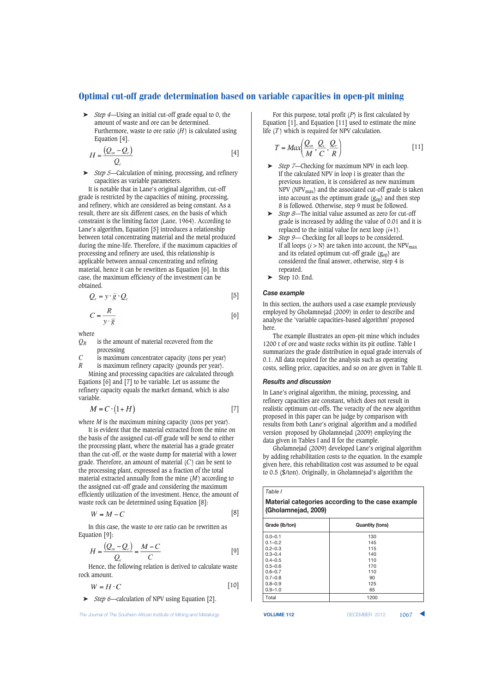➤ *Step 4*—Using an initial cut-off grade equal to 0, the amount of waste and ore can be determined. Furthermore, waste to ore ratio  $(H)$  is calculated using Equation [4].

$$
H = \frac{(Q_m - Q_c)}{Q_c} \tag{4}
$$

➤ *Step 5*—Calculation of mining, processing, and refinery capacities as variable parameters.

It is notable that in Lane's original algorithm, cut-off grade is restricted by the capacities of mining, processing, and refinery, which are considered as being constant. As a result, there are six different cases, on the basis of which constraint is the limiting factor (Lane, 1964). According to Lane's algorithm, Equation [5] introduces a relationship between total concentrating material and the metal produced during the mine-life. Therefore, if the maximum capacities of processing and refinery are used, this relationship is applicable between annual concentrating and refining material, hence it can be rewritten as Equation [6]. In this case, the maximum efficiency of the investment can be obtained.

$$
Q_r = y \cdot \overline{g} \cdot Q_c \tag{5}
$$

$$
C = \frac{R}{v \cdot \overline{g}}
$$
 [6]

where

- *QR* is the amount of material recovered from the processing
- *C* is maximum concentrator capacity (tons per year) *R* is maximum refinery capacity (pounds per year).

Mining and processing capacities are calculated through Eqations [6] and [7] to be variable. Let us assume the refinery capacity equals the market demand, which is also variable.

$$
M = C \cdot (1 + H) \tag{7}
$$

where *M* is the maximum mining capacity (tons per year).

It is evident that the material extracted from the mine on the basis of the assigned cut-off grade will be send to either the processing plant, where the material has a grade greater than the cut-off, or the waste dump for material with a lower grade. Therefore, an amount of material (*C*) can be sent to the processing plant, expressed as a fraction of the total material extracted annually from the mine (*M*) according to the assigned cut-off grade and considering the maximum efficiently utilization of the investment. Hence, the amount of waste rock can be determined using Equation [8]:

$$
W = M - C \tag{8}
$$

In this case, the waste to ore ratio can be rewritten as Equation [9]:

$$
H = \frac{(Q_m - Q_c)}{Q_c} = \frac{M - C}{C}
$$
 [9]

Hence, the following relation is derived to calculate waste rock amount.

$$
W = H \cdot C \tag{10}
$$

➤ *Step 6*—calculation of NPV using Equation [2].

**The Journal of The Southern African Institute of Mining and Metallurgy <b>VOLUME 112 VOLUME 112 DECEMBER 2012 1067** 

For this purpose, total profit (*P*) is first calculated by Equation [1], and Equation [11] used to estimate the mine life (*T* ) which is required for NPV calculation.

$$
T = Max\left(\frac{Q_m}{M}, \frac{Q_c}{C}, \frac{Q_r}{R}\right)
$$
 [11]

- ➤ *Step 7*—Checking for maximum NPV in each loop. If the calculated NPV in loop i is greater than the previous iteration, it is considered as new maximum  $NPV$  ( $NPV_{max}$ ) and the associated cut-off grade is taken into account as the optimum grade  $(g_{op})$  and then step 8 is followed. Otherwise, step 9 must be followed.
- ➤ *Step 8*—The initial value assumed as zero for cut-off grade is increased by adding the value of 0.01 and it is replaced to the initial value for next loop  $(i+1)$ .
- ➤ *Step 9* Checking for all loops to be considered. If all loops  $(i > N)$  are taken into account, the NPV<sub>max</sub> and its related optimum cut-off grade  $(g_{on})$  are considered the final answer, otherwise, step 4 is repeated.
- $\blacktriangleright$  Step 10: End.

# *Case example*

In this section, the authors used a case example previously employed by Gholamnejad (2009) in order to describe and analyse the 'variable capacities-based algorithm' proposed here.

The example illustrates an open-pit mine which includes 1200 t of ore and waste rocks within its pit outline. Table I summarizes the grade distribution in equal grade intervals of 0.1. All data required for the analysis such as operating costs, selling price, capacities, and so on are given in Table II.

#### *Results and discussion*

In Lane's original algorithm, the mining, processing, and refinery capacities are constant, which does not result in realistic optimum cut-offs. The veracity of the new algorithm proposed in this paper can be judge by comparison with results from both Lane's original algorithm and a modified version proposed by Gholamnejad (2009) employing the data given in Tables I and II for the example.

Gholamnejad (2009) developed Lane's original algorithm by adding rehabilitation costs to the equation. In the example given here, this rehabilitation cost was assumed to be equal to 0.5 (\$/ton). Originally, in Gholamnejad's algorithm the

*Table I*

**Material categories according to the case example (Gholamnejad, 2009)**

| Grade (lb/ton) | <b>Quantity (tons)</b> |
|----------------|------------------------|
| $0.0 - 0.1$    | 130                    |
| $0.1 - 0.2$    | 145                    |
| $0.2 - 0.3$    | 115                    |
| $0.3 - 0.4$    | 140                    |
| $0.4 - 0.5$    | 110                    |
| $0.5 - 0.6$    | 170                    |
| $0.6 - 0.7$    | 110                    |
| $0.7 - 0.8$    | 90                     |
| $0.8 - 0.9$    | 125                    |
| $0.9 - 1.0$    | 65                     |
| Total          | 1200                   |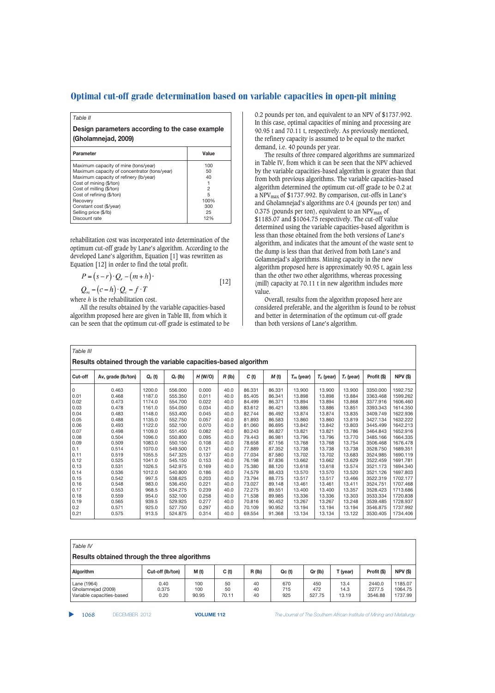# *Table II*

**Design parameters according to the case example (Gholamnejad, 2009)**

| <b>Parameter</b>                             | Value |
|----------------------------------------------|-------|
| Maximum capacity of mine (tons/year)         | 100   |
| Maximum capacity of concentrator (tons/year) | 50    |
| Maximum capacity of refinery (lb/year)       | 40    |
| Cost of mining (\$/ton)                      |       |
| Cost of milling (\$/ton)                     | 2     |
| Cost of refining (\$/ton)                    | 5     |
| Recovery                                     | 100%  |
| Constant cost (\$/year)                      | 300   |
| Selling price (\$/lb)                        | 25    |
| Discount rate                                | 12%   |

rehabilitation cost was incorporated into determination of the optimum cut-off grade by Lane's algorithm. According to the developed Lane's algorithm, Equation [1] was rewritten as Equation [12] in order to find the total profit.

$$
P = (s - r) \cdot Q_r - (m + h) \cdot Q_m - (c - h) \cdot Q_c - f \cdot T
$$
\n[12]

where *h* is the rehabilitation cost.

All the results obtained by the variable capacities-based algorithm proposed here are given in Table III, from which it can be seen that the optimum cut-off grade is estimated to be 0.2 pounds per ton, and equivalent to an NPV of \$1737.992. In this case, optimal capacities of mining and processing are 90.95 t and 70.11 t, respectively. As previously mentioned, the refinery capacity is assumed to be equal to the market demand, i.e. 40 pounds per year.

The results of three compared algorithms are summarized in Table IV, from which it can be seen that the NPV achieved by the variable capacities-based algorithm is greater than that from both previous algorithms. The variable capacities-based algorithm determined the optimum cut-off grade to be 0.2 at a NPVmax of \$1737.992. By comparison, cut-offs in Lane's and Gholamnejad's algorithms are 0.4 (pounds per ton) and 0.375 (pounds per ton), equivalent to an  $NPV_{max}$  of \$1185.07 and \$1064.75 respectively. The cut-off value determined using the variable capacities-based algorithm is less than those obtained from the both versions of Lane's algorithm, and indicates that the amount of the waste sent to the dump is less than that derived from both Lane's and Golamnejad's algorithms. Mining capacity in the new algorithm proposed here is approximately 90.95 t, again less than the other two other algorithms, whereas processing (mill) capacity at 70.11 t in new algorithm includes more value.

Overall, results from the algorithm proposed here are considered preferable, and the algorithm is found to be robust and better in determination of the optimum cut-off grade than both versions of Lane's algorithm.

| Table III                                                        |                    |           |            |         |          |        |        |              |              |              |             |                 |
|------------------------------------------------------------------|--------------------|-----------|------------|---------|----------|--------|--------|--------------|--------------|--------------|-------------|-----------------|
| Results obtained through the variable capacities-based algorithm |                    |           |            |         |          |        |        |              |              |              |             |                 |
|                                                                  |                    |           |            |         |          |        |        |              |              |              |             |                 |
| Cut-off                                                          | Av, grade (lb/ton) | $Q_c$ (t) | $Q_r$ (lb) | H (W/O) | $R$ (lb) | C(t)   | M(t)   | $T_m$ (year) | $T_c$ (year) | $T_r$ (year) | Profit (\$) | <b>NPV (\$)</b> |
| 0                                                                | 0.463              | 1200.0    | 556,000    | 0.000   | 40.0     | 86.331 | 86.331 | 13.900       | 13.900       | 13.900       | 3350.000    | 1592.752        |
| 0.01                                                             | 0.468              | 1187.0    | 555.350    | 0.011   | 40.0     | 85.405 | 86.341 | 13.898       | 13.898       | 13.884       | 3363.468    | 1599.262        |
| 0.02                                                             | 0.473              | 1174.0    | 554.700    | 0.022   | 40.0     | 84.499 | 86.371 | 13.894       | 13.894       | 13.868       | 3377.916    | 1606.460        |
| 0.03                                                             | 0.478              | 1161.0    | 554.050    | 0.034   | 40.0     | 83.612 | 86.421 | 13.886       | 13.886       | 13.851       | 3393.343    | 1614.350        |
| 0.04                                                             | 0.483              | 1148.0    | 553,400    | 0.045   | 40.0     | 82.744 | 86.492 | 13.874       | 13.874       | 13.835       | 3409.749    | 1622.936        |
| 0.05                                                             | 0.488              | 1135.0    | 552.750    | 0.057   | 40.0     | 81.893 | 86.583 | 13.860       | 13.860       | 13.819       | 3427.134    | 1632.222        |
| 0.06                                                             | 0.493              | 1122.0    | 552.100    | 0.070   | 40.0     | 81.060 | 86.695 | 13.842       | 13.842       | 13.803       | 3445.499    | 1642.213        |
| 0.07                                                             | 0.498              | 1109.0    | 551.450    | 0.082   | 40.0     | 80.243 | 86.827 | 13.821       | 13.821       | 13.786       | 3464.843    | 1652.916        |
| 0.08                                                             | 0.504              | 1096.0    | 550,800    | 0.095   | 40.0     | 79.443 | 86.981 | 13.796       | 13.796       | 13.770       | 3485.166    | 1664.335        |
| 0.09                                                             | 0.509              | 1083.0    | 550.150    | 0.108   | 40.0     | 78.658 | 87.156 | 13.768       | 13.768       | 13.754       | 3506.468    | 1676.478        |
| 0.1                                                              | 0.514              | 1070.0    | 549,500    | 0.121   | 40.0     | 77.889 | 87.352 | 13.738       | 13.738       | 13.738       | 3528.750    | 1689.351        |
| 0.11                                                             | 0.519              | 1055.5    | 547.325    | 0.137   | 40.0     | 77.034 | 87.580 | 13.702       | 13.702       | 13.683       | 3524.985    | 1690.119        |
| 0.12                                                             | 0.525              | 1041.0    | 545.150    | 0.153   | 40.0     | 76.198 | 87.836 | 13.662       | 13.662       | 13.629       | 3522.459    | 1691.781        |
| 0.13                                                             | 0.531              | 1026.5    | 542.975    | 0.169   | 40.0     | 75,380 | 88.120 | 13.618       | 13.618       | 13.574       | 3521.173    | 1694.340        |
| 0.14                                                             | 0.536              | 1012.0    | 540,800    | 0.186   | 40.0     | 74.579 | 88.433 | 13.570       | 13.570       | 13.520       | 3521.126    | 1697.803        |
| 0.15                                                             | 0.542              | 997.5     | 538.625    | 0.203   | 40.0     | 73.794 | 88.775 | 13.517       | 13.517       | 13.466       | 3522.319    | 1702.177        |
| 0.16                                                             | 0.548              | 983.0     | 536.450    | 0.221   | 40.0     | 73.027 | 89.148 | 13.461       | 13.461       | 13.411       | 3524.751    | 1707.468        |
| 0.17                                                             | 0.553              | 968.5     | 534.275    | 0.239   | 40.0     | 72.275 | 89.551 | 13,400       | 13,400       | 13.357       | 3528.423    | 1713.686        |
| 0.18                                                             | 0.559              | 954.0     | 532.100    | 0.258   | 40.0     | 71.538 | 89.985 | 13.336       | 13.336       | 13.303       | 3533.334    | 1720.838        |
| 0.19                                                             | 0.565              | 939.5     | 529.925    | 0.277   | 40.0     | 70.816 | 90.452 | 13.267       | 13.267       | 13.248       | 3539.485    | 1728.937        |
| 0.2                                                              | 0.571              | 925.0     | 527.750    | 0.297   | 40.0     | 70.109 | 90.952 | 13.194       | 13.194       | 13.194       | 3546.875    | 1737.992        |
| 0.21                                                             | 0.575              | 913.5     | 524.875    | 0.314   | 40.0     | 69.554 | 91.368 | 13.134       | 13.134       | 13.122       | 3530.405    | 1734.406        |

| Table IV<br>Results obtained through the three algorithms      |                       |                     |                   |                |                   |                      |                       |                             |                               |  |  |
|----------------------------------------------------------------|-----------------------|---------------------|-------------------|----------------|-------------------|----------------------|-----------------------|-----------------------------|-------------------------------|--|--|
| Algorithm                                                      | Cut-off (lb/ton)      | M (t)               | C(t)              | $R($ lb $)$    | Qc(t)             | Qr (lb)              | T (year)              | Profit (\$)                 | <b>NPV (\$)</b>               |  |  |
| Lane (1964)<br>Gholamnejad (2009)<br>Variable capacities-based | 0.40<br>0.375<br>0.20 | 100<br>100<br>90.95 | 50<br>50<br>70.11 | 40<br>40<br>40 | 670<br>715<br>925 | 450<br>472<br>527.75 | 13.4<br>14.3<br>13.19 | 2440.0<br>2277.5<br>3546.88 | 1185.07<br>1064.75<br>1737.99 |  |  |

▲

1068 DECEMBER 2012 **VOLUME 112** *The Journal of The Southern African Institute of Mining and Metallurgy*